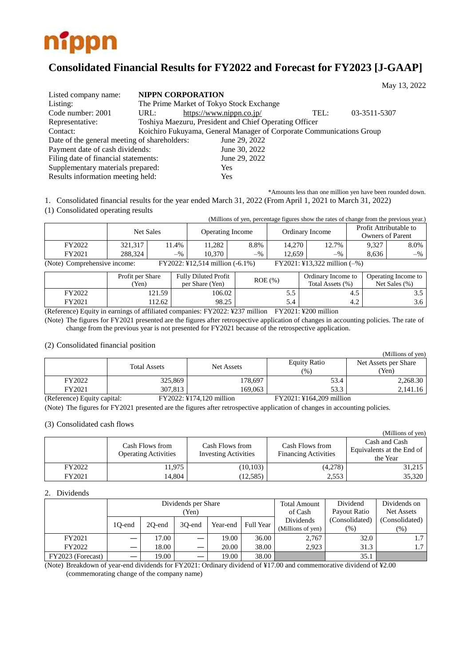

# **Consolidated Financial Results for FY2022 and Forecast for FY2023 [J-GAAP]**

|                                              |      |                                                                      |      | May 13, 2022 |  |
|----------------------------------------------|------|----------------------------------------------------------------------|------|--------------|--|
| Listed company name:                         |      | <b>NIPPN CORPORATION</b>                                             |      |              |  |
| Listing:                                     |      | The Prime Market of Tokyo Stock Exchange                             |      |              |  |
| Code number: 2001                            | URL: | https://www.nippn.co.jp/                                             | TEL: | 03-3511-5307 |  |
| Representative:                              |      | Toshiya Maezuru, President and Chief Operating Officer               |      |              |  |
| Contact:                                     |      | Koichiro Fukuyama, General Manager of Corporate Communications Group |      |              |  |
| Date of the general meeting of shareholders: |      | June 29, 2022                                                        |      |              |  |
| Payment date of cash dividends:              |      | June 30, 2022                                                        |      |              |  |
| Filing date of financial statements:         |      | June 29, 2022                                                        |      |              |  |
| Supplementary materials prepared:            |      | Yes                                                                  |      |              |  |
| Results information meeting held:            |      | Yes                                                                  |      |              |  |

\*Amounts less than one million yen have been rounded down. 1. Consolidated financial results for the year ended March 31, 2022 (From April 1, 2021 to March 31, 2022)

(1) Consolidated operating results

|                              | (Millions of yen, percentage figures show the rates of change from the previous year.) |       |                                 |       |                 |                                |                                                   |       |  |
|------------------------------|----------------------------------------------------------------------------------------|-------|---------------------------------|-------|-----------------|--------------------------------|---------------------------------------------------|-------|--|
|                              | Net Sales                                                                              |       | <b>Operating Income</b>         |       | Ordinary Income |                                | Profit Attributable to<br><b>Owners of Parent</b> |       |  |
| FY2022                       | 321.317                                                                                | 11.4% | 11.282                          | 8.8%  | 14.270          | 12.7%                          | 9.327                                             | 8.0%  |  |
| FY2021                       | 288.324                                                                                | $-$ % | 10.370                          | $-$ % | 12.659          | $-$ %                          | 8.636                                             | $-$ % |  |
| (Note) Comprehensive income: |                                                                                        |       | FY2022: ¥12,514 million (-6.1%) |       |                 | $FY2021:$ ¥13,322 million (-%) |                                                   |       |  |

|        | Profit per Share<br>Yen) | <b>Fully Diluted Profit</b><br>per Share (Yen) | $ROE$ $(\% )$ | Ordinary Income to<br>Total Assets (%) | Operating Income to<br>Net Sales (%) |
|--------|--------------------------|------------------------------------------------|---------------|----------------------------------------|--------------------------------------|
| FY2022 | 21.59                    | 106.02                                         | D.J           | 4.3                                    |                                      |
| FY2021 | 12.62                    | 98.25                                          | 5.4           | 4.2                                    | 3.6                                  |

(Reference) Equity in earnings of affiliated companies: FY2022: ¥237 million FY2021: ¥200 million

(Note) The figures for FY2021 presented are the figures after retrospective application of changes in accounting policies. The rate of change from the previous year is not presented for FY2021 because of the retrospective application.

#### (2) Consolidated financial position

|                             |                     |                          |                            | (Millions of yen)             |
|-----------------------------|---------------------|--------------------------|----------------------------|-------------------------------|
|                             | <b>Total Assets</b> | <b>Net Assets</b>        | <b>Equity Ratio</b><br>(%) | Net Assets per Share<br>(Yen) |
| FY2022                      | 325,869             | 178,697                  | 53.4                       | 2,268.30                      |
| FY2021                      | 307.813             | 169.063                  | 53.3                       | 2,141.16                      |
| (Reference) Equity capital: |                     | FY2022: ¥174,120 million | FY2021: ¥164,209 million   |                               |

(Note) The figures for FY2021 presented are the figures after retrospective application of changes in accounting policies.

#### (3) Consolidated cash flows

|        |                                                |                                                |                                                | (Millions of yen)                                      |
|--------|------------------------------------------------|------------------------------------------------|------------------------------------------------|--------------------------------------------------------|
|        | Cash Flows from<br><b>Operating Activities</b> | Cash Flows from<br><b>Investing Activities</b> | Cash Flows from<br><b>Financing Activities</b> | Cash and Cash<br>Equivalents at the End of<br>the Year |
| FY2022 | 11,975                                         | (10, 103)                                      | (4,278)                                        | 31,215                                                 |
| FY2021 | 14.804                                         | (12, 585)                                      | 2,553                                          | 35,320                                                 |

## 2. Dividends

|                   |        |        | Dividends per Share |          | <b>Total Amount</b> | Dividend          | Dividends on      |                |
|-------------------|--------|--------|---------------------|----------|---------------------|-------------------|-------------------|----------------|
|                   |        |        | (Yen)               |          | of Cash             | Payout Ratio      | <b>Net Assets</b> |                |
|                   |        |        |                     |          |                     | Dividends         | (Consolidated)    | (Consolidated) |
|                   | 10-end | 20-end | 30-end              | Year-end | <b>Full Year</b>    | (Millions of yen) | $(\%)$            | $(\%)$         |
| FY2021            |        | 17.00  | —                   | 19.00    | 36.00               | 2,767             | 32.0              | $\overline{ }$ |
| FY2022            |        | 18.00  | —                   | 20.00    | 38.00               | 2.923             | 31.3              | $\mathcal{L}$  |
| FY2023 (Forecast) |        | 19.00  | —                   | 19.00    | 38.00               |                   | 35.1              |                |

(Note) Breakdown of year-end dividends for FY2021: Ordinary dividend of ¥17.00 and commemorative dividend of ¥2.00 (commemorating change of the company name)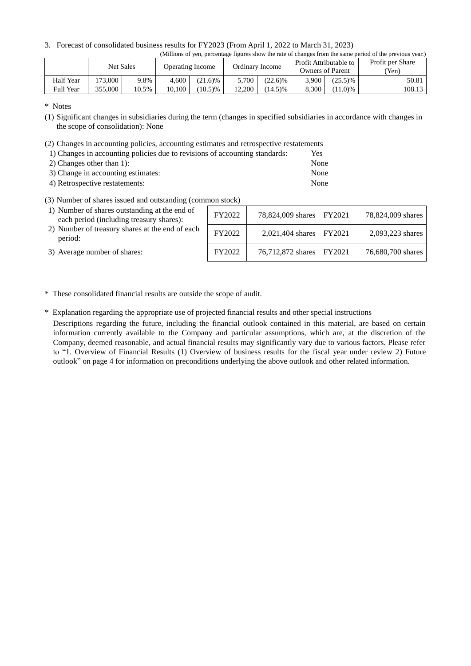3. Forecast of consolidated business results for FY2023 (From April 1, 2022 to March 31, 2023)

|                  | (Millions of yen, percentage figures show the rate of changes from the same period of the previous year.) |       |                         |            |                 |            |                                                   |            |                  |  |
|------------------|-----------------------------------------------------------------------------------------------------------|-------|-------------------------|------------|-----------------|------------|---------------------------------------------------|------------|------------------|--|
|                  |                                                                                                           |       | <b>Operating Income</b> |            | Ordinary Income |            | Profit Attributable to<br><b>Owners of Parent</b> |            | Profit per Share |  |
|                  | Net Sales                                                                                                 |       |                         |            |                 |            |                                                   |            | (Yen)            |  |
| Half Year        | 173.000                                                                                                   | 9.8%  | 4.600                   | $(21.6)\%$ | 5.700           | $(22.6)\%$ | 3.900                                             | $(25.5)\%$ | 50.81 l          |  |
| <b>Full Year</b> | 355,000                                                                                                   | 10.5% | 10.100                  | $(10.5)\%$ | 12.200          | $(14.5)\%$ | 8.300                                             | $(11.0)\%$ | 108.13           |  |

\* Notes

- (1) Significant changes in subsidiaries during the term (changes in specified subsidiaries in accordance with changes in the scope of consolidation): None
- (2) Changes in accounting policies, accounting estimates and retrospective restatements

| 1) Changes in accounting policies due to revisions of accounting standards: | Yes  |
|-----------------------------------------------------------------------------|------|
| 2) Changes other than $1$ :                                                 | None |
| 3) Change in accounting estimates:                                          | None |
| 4) Retrospective restatements:                                              | None |

(3) Number of shares issued and outstanding (common stock)

| 1) Number of shares outstanding at the end of<br>each period (including treasury shares): | FY2022 | 78,824,009 shares   FY2021 | 78,824,009 shares |
|-------------------------------------------------------------------------------------------|--------|----------------------------|-------------------|
| 2) Number of treasury shares at the end of each<br>period:                                | FY2022 | 2,021,404 shares   FY2021  | 2,093,223 shares  |
| 3) Average number of shares:                                                              | FY2022 | 76,712,872 shares   FY2021 | 76,680,700 shares |

\* These consolidated financial results are outside the scope of audit.

\* Explanation regarding the appropriate use of projected financial results and other special instructions

Descriptions regarding the future, including the financial outlook contained in this material, are based on certain information currently available to the Company and particular assumptions, which are, at the discretion of the Company, deemed reasonable, and actual financial results may significantly vary due to various factors. Please refer to "1. Overview of Financial Results (1) Overview of business results for the fiscal year under review 2) Future outlook" on page 4 for information on preconditions underlying the above outlook and other related information.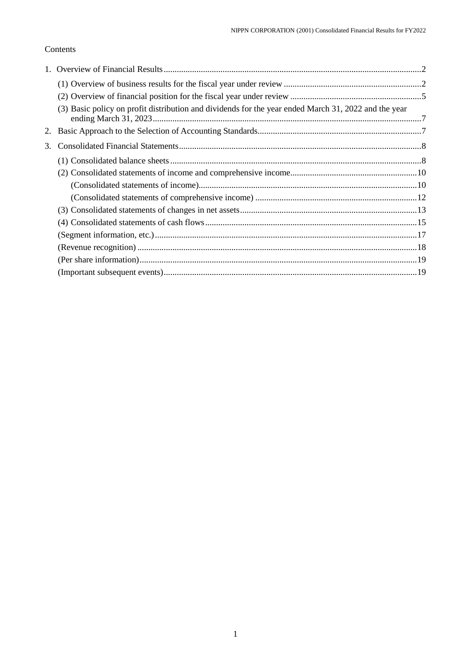## Contents

|    | (3) Basic policy on profit distribution and dividends for the year ended March 31, 2022 and the year |  |
|----|------------------------------------------------------------------------------------------------------|--|
|    |                                                                                                      |  |
| 3. |                                                                                                      |  |
|    |                                                                                                      |  |
|    |                                                                                                      |  |
|    |                                                                                                      |  |
|    |                                                                                                      |  |
|    |                                                                                                      |  |
|    |                                                                                                      |  |
|    |                                                                                                      |  |
|    |                                                                                                      |  |
|    |                                                                                                      |  |
|    |                                                                                                      |  |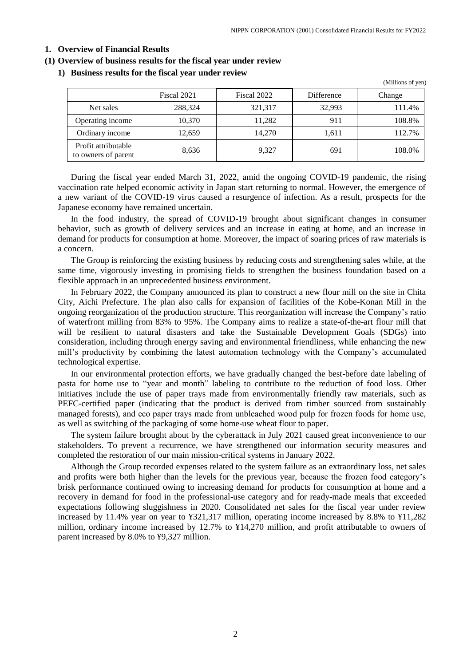## <span id="page-3-0"></span>**1. Overview of Financial Results**

#### <span id="page-3-1"></span>**(1) Overview of business results for the fiscal year under review**

## **1) Business results for the fiscal year under review**

|                                            |             |             |            | (Millions of yen) |
|--------------------------------------------|-------------|-------------|------------|-------------------|
|                                            | Fiscal 2021 | Fiscal 2022 | Difference | Change            |
| Net sales                                  | 288,324     | 321,317     | 32,993     | 111.4%            |
| Operating income                           | 10.370      | 11,282      | 911        | 108.8%            |
| Ordinary income                            | 12,659      | 14,270      | 1,611      | 112.7%            |
| Profit attributable<br>to owners of parent | 8,636       | 9.327       | 691        | 108.0%            |

During the fiscal year ended March 31, 2022, amid the ongoing COVID-19 pandemic, the rising vaccination rate helped economic activity in Japan start returning to normal. However, the emergence of a new variant of the COVID-19 virus caused a resurgence of infection. As a result, prospects for the Japanese economy have remained uncertain.

In the food industry, the spread of COVID-19 brought about significant changes in consumer behavior, such as growth of delivery services and an increase in eating at home, and an increase in demand for products for consumption at home. Moreover, the impact of soaring prices of raw materials is a concern.

The Group is reinforcing the existing business by reducing costs and strengthening sales while, at the same time, vigorously investing in promising fields to strengthen the business foundation based on a flexible approach in an unprecedented business environment.

In February 2022, the Company announced its plan to construct a new flour mill on the site in Chita City, Aichi Prefecture. The plan also calls for expansion of facilities of the Kobe-Konan Mill in the ongoing reorganization of the production structure. This reorganization will increase the Company's ratio of waterfront milling from 83% to 95%. The Company aims to realize a state-of-the-art flour mill that will be resilient to natural disasters and take the Sustainable Development Goals (SDGs) into consideration, including through energy saving and environmental friendliness, while enhancing the new mill's productivity by combining the latest automation technology with the Company's accumulated technological expertise.

In our environmental protection efforts, we have gradually changed the best-before date labeling of pasta for home use to "year and month" labeling to contribute to the reduction of food loss. Other initiatives include the use of paper trays made from environmentally friendly raw materials, such as PEFC-certified paper (indicating that the product is derived from timber sourced from sustainably managed forests), and ecо paper trays made from unbleached wood pulp for frozen foods for home use, as well as switching of the packaging of some home-use wheat flour to paper.

The system failure brought about by the cyberattack in July 2021 caused great inconvenience to our stakeholders. To prevent a recurrence, we have strengthened our information security measures and completed the restoration of our main mission-critical systems in January 2022.

Although the Group recorded expenses related to the system failure as an extraordinary loss, net sales and profits were both higher than the levels for the previous year, because the frozen food category's brisk performance continued owing to increasing demand for products for consumption at home and a recovery in demand for food in the professional-use category and for ready-made meals that exceeded expectations following sluggishness in 2020. Consolidated net sales for the fiscal year under review increased by 11.4% year on year to ¥321,317 million, operating income increased by 8.8% to ¥11,282 million, ordinary income increased by 12.7% to ¥14,270 million, and profit attributable to owners of parent increased by 8.0% to ¥9,327 million.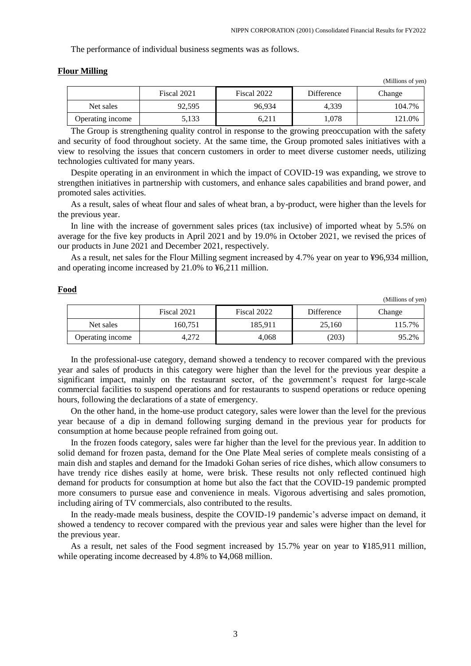$(x, \alpha)$ 

The performance of individual business segments was as follows.

|                  |             |             |            | (TVITHIOITS OF YELL) |
|------------------|-------------|-------------|------------|----------------------|
|                  | Fiscal 2021 | Fiscal 2022 | Difference | Change               |
| Net sales        | 92.595      | 96.934      | 4.339      | 104.7%               |
| Operating income | 5,133       | 6.211       | 1.078      | 121.0%               |

## **Flour Milling**

**Food**

The Group is strengthening quality control in response to the growing preoccupation with the safety and security of food throughout society. At the same time, the Group promoted sales initiatives with a view to resolving the issues that concern customers in order to meet diverse customer needs, utilizing technologies cultivated for many years.

Despite operating in an environment in which the impact of COVID-19 was expanding, we strove to strengthen initiatives in partnership with customers, and enhance sales capabilities and brand power, and promoted sales activities.

As a result, sales of wheat flour and sales of wheat bran, a by-product, were higher than the levels for the previous year.

In line with the increase of government sales prices (tax inclusive) of imported wheat by 5.5% on average for the five key products in April 2021 and by 19.0% in October 2021, we revised the prices of our products in June 2021 and December 2021, respectively.

As a result, net sales for the Flour Milling segment increased by 4.7% year on year to ¥96,934 million, and operating income increased by 21.0% to ¥6,211 million.

|                  |             |             |            | (Millions of yen) |
|------------------|-------------|-------------|------------|-------------------|
|                  | Fiscal 2021 | Fiscal 2022 | Difference | Change            |
| Net sales        | 160,751     | 185.911     | 25,160     | $15.7\%$          |
| Operating income | 4.272       | 4,068       | (203)      | 95.2%             |

In the professional-use category, demand showed a tendency to recover compared with the previous year and sales of products in this category were higher than the level for the previous year despite a significant impact, mainly on the restaurant sector, of the government's request for large-scale commercial facilities to suspend operations and for restaurants to suspend operations or reduce opening hours, following the declarations of a state of emergency.

On the other hand, in the home-use product category, sales were lower than the level for the previous year because of a dip in demand following surging demand in the previous year for products for consumption at home because people refrained from going out.

In the frozen foods category, sales were far higher than the level for the previous year. In addition to solid demand for frozen pasta, demand for the One Plate Meal series of complete meals consisting of a main dish and staples and demand for the Imadoki Gohan series of rice dishes, which allow consumers to have trendy rice dishes easily at home, were brisk. These results not only reflected continued high demand for products for consumption at home but also the fact that the COVID-19 pandemic prompted more consumers to pursue ease and convenience in meals. Vigorous advertising and sales promotion, including airing of TV commercials, also contributed to the results.

In the ready-made meals business, despite the COVID-19 pandemic's adverse impact on demand, it showed a tendency to recover compared with the previous year and sales were higher than the level for the previous year.

As a result, net sales of the Food segment increased by 15.7% year on year to ¥185,911 million, while operating income decreased by 4.8% to ¥4,068 million.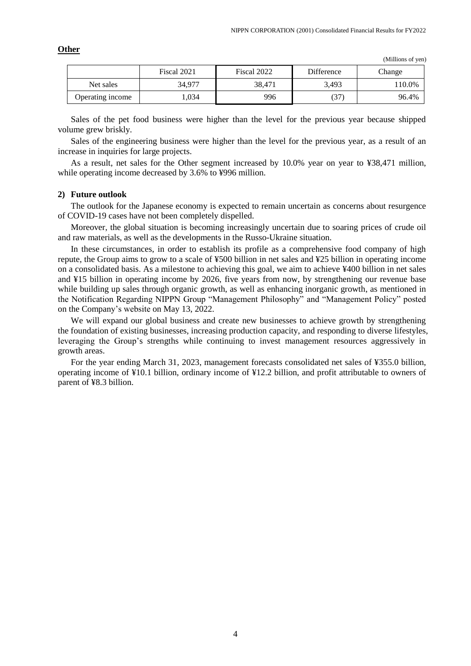|                  | Fiscal 2021 | Fiscal 2022 | <b>Difference</b> | Change |
|------------------|-------------|-------------|-------------------|--------|
| Net sales        | 34.977      | 38.471      | 3,493             | 110.0% |
| Operating income | ,034        | 996         | 37                | 96.4%  |

**Other**

Sales of the pet food business were higher than the level for the previous year because shipped volume grew briskly.

Sales of the engineering business were higher than the level for the previous year, as a result of an increase in inquiries for large projects.

As a result, net sales for the Other segment increased by 10.0% year on year to ¥38,471 million, while operating income decreased by 3.6% to ¥996 million.

## **2) Future outlook**

The outlook for the Japanese economy is expected to remain uncertain as concerns about resurgence of COVID-19 cases have not been completely dispelled.

Moreover, the global situation is becoming increasingly uncertain due to soaring prices of crude oil and raw materials, as well as the developments in the Russo-Ukraine situation.

In these circumstances, in order to establish its profile as a comprehensive food company of high repute, the Group aims to grow to a scale of ¥500 billion in net sales and ¥25 billion in operating income on a consolidated basis. As a milestone to achieving this goal, we aim to achieve ¥400 billion in net sales and ¥15 billion in operating income by 2026, five years from now, by strengthening our revenue base while building up sales through organic growth, as well as enhancing inorganic growth, as mentioned in the Notification Regarding NIPPN Group "Management Philosophy" and "Management Policy" posted on the Company's website on May 13, 2022.

We will expand our global business and create new businesses to achieve growth by strengthening the foundation of existing businesses, increasing production capacity, and responding to diverse lifestyles, leveraging the Group's strengths while continuing to invest management resources aggressively in growth areas.

For the year ending March 31, 2023, management forecasts consolidated net sales of ¥355.0 billion, operating income of ¥10.1 billion, ordinary income of ¥12.2 billion, and profit attributable to owners of parent of ¥8.3 billion.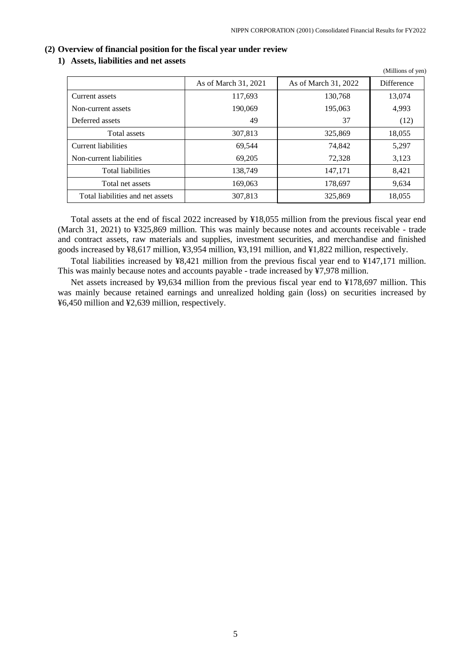## <span id="page-6-0"></span>**(2) Overview of financial position for the fiscal year under review**

## **1) Assets, liabilities and net assets**

|                                  |                      |                      | $($ whindong or $($ cii) |
|----------------------------------|----------------------|----------------------|--------------------------|
|                                  | As of March 31, 2021 | As of March 31, 2022 | Difference               |
| Current assets                   | 117,693              | 130,768              | 13,074                   |
| Non-current assets               | 190.069              | 195,063              | 4,993                    |
| Deferred assets                  | 49                   | 37                   | (12)                     |
| Total assets                     | 307,813              | 325,869              | 18,055                   |
| Current liabilities              | 69,544               | 74.842               | 5,297                    |
| Non-current liabilities          | 69,205               | 72,328               | 3,123                    |
| <b>Total liabilities</b>         | 138,749              | 147.171              | 8,421                    |
| Total net assets                 | 169,063              | 178,697              | 9,634                    |
| Total liabilities and net assets | 307,813              | 325,869              | 18,055                   |

Total assets at the end of fiscal 2022 increased by ¥18,055 million from the previous fiscal year end (March 31, 2021) to ¥325,869 million. This was mainly because notes and accounts receivable - trade and contract assets, raw materials and supplies, investment securities, and merchandise and finished goods increased by ¥8,617 million, ¥3,954 million, ¥3,191 million, and ¥1,822 million, respectively.

Total liabilities increased by ¥8,421 million from the previous fiscal year end to ¥147,171 million. This was mainly because notes and accounts payable - trade increased by ¥7,978 million.

Net assets increased by ¥9,634 million from the previous fiscal year end to ¥178,697 million. This was mainly because retained earnings and unrealized holding gain (loss) on securities increased by ¥6,450 million and ¥2,639 million, respectively.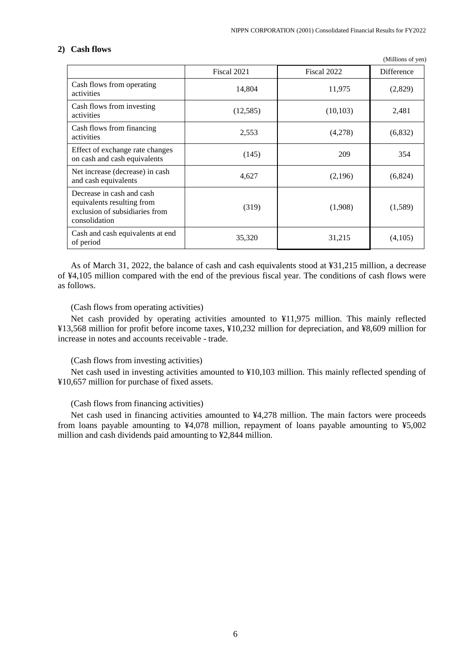## **2) Cash flows**

|                                                                                                            | Fiscal 2021 | Fiscal 2022 | Difference |
|------------------------------------------------------------------------------------------------------------|-------------|-------------|------------|
| Cash flows from operating<br>activities                                                                    | 14,804      | 11,975      | (2,829)    |
| Cash flows from investing<br>activities                                                                    | (12, 585)   | (10, 103)   | 2,481      |
| Cash flows from financing<br>activities                                                                    | 2,553       | (4,278)     | (6,832)    |
| Effect of exchange rate changes<br>on cash and cash equivalents                                            | (145)       | 209         | 354        |
| Net increase (decrease) in cash<br>and cash equivalents                                                    | 4,627       | (2,196)     | (6,824)    |
| Decrease in cash and cash<br>equivalents resulting from<br>exclusion of subsidiaries from<br>consolidation | (319)       | (1,908)     | (1,589)    |
| Cash and cash equivalents at end<br>of period                                                              | 35,320      | 31,215      | (4,105)    |

As of March 31, 2022, the balance of cash and cash equivalents stood at ¥31,215 million, a decrease of ¥4,105 million compared with the end of the previous fiscal year. The conditions of cash flows were as follows.

## (Cash flows from operating activities)

Net cash provided by operating activities amounted to ¥11,975 million. This mainly reflected ¥13,568 million for profit before income taxes, ¥10,232 million for depreciation, and ¥8,609 million for increase in notes and accounts receivable - trade.

## (Cash flows from investing activities)

Net cash used in investing activities amounted to ¥10,103 million. This mainly reflected spending of ¥10,657 million for purchase of fixed assets.

## (Cash flows from financing activities)

Net cash used in financing activities amounted to ¥4,278 million. The main factors were proceeds from loans payable amounting to ¥4,078 million, repayment of loans payable amounting to ¥5,002 million and cash dividends paid amounting to ¥2,844 million.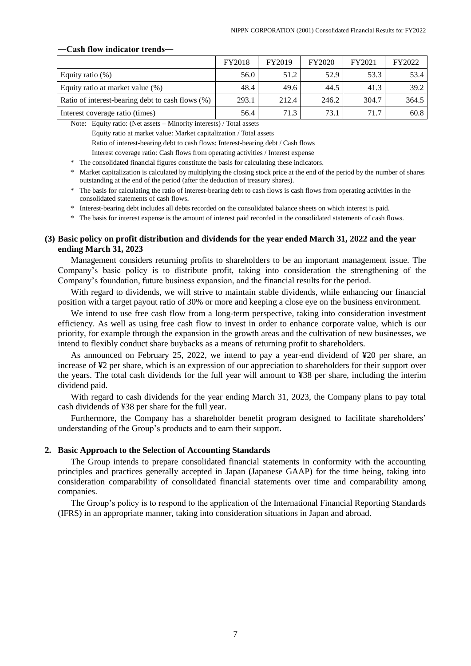## **―Cash flow indicator trends―**

|                                                  | <b>FY2018</b> | FY2019 | FY2020 | FY2021 | FY2022 |
|--------------------------------------------------|---------------|--------|--------|--------|--------|
| Equity ratio $(\%)$                              | 56.0          | 51.2   | 52.9   | 53.3   | 53.4   |
| Equity ratio at market value (%)                 | 48.4          | 49.6   | 44.5   | 41.3   | 39.2   |
| Ratio of interest-bearing debt to cash flows (%) | 293.1         | 212.4  | 246.2  | 304.7  | 364.5  |
| Interest coverage ratio (times)                  | 56.4          | 71.3   | 73.1   | 71.7   | 60.8   |

Note: Equity ratio: (Net assets – Minority interests) / Total assets

Equity ratio at market value: Market capitalization / Total assets

Ratio of interest-bearing debt to cash flows: Interest-bearing debt / Cash flows

Interest coverage ratio: Cash flows from operating activities / Interest expense

\* The consolidated financial figures constitute the basis for calculating these indicators.

- \* Market capitalization is calculated by multiplying the closing stock price at the end of the period by the number of shares outstanding at the end of the period (after the deduction of treasury shares).
- \* The basis for calculating the ratio of interest-bearing debt to cash flows is cash flows from operating activities in the consolidated statements of cash flows.
- \* Interest-bearing debt includes all debts recorded on the consolidated balance sheets on which interest is paid.

\* The basis for interest expense is the amount of interest paid recorded in the consolidated statements of cash flows.

## <span id="page-8-0"></span>**(3) Basic policy on profit distribution and dividends for the year ended March 31, 2022 and the year ending March 31, 2023**

Management considers returning profits to shareholders to be an important management issue. The Company's basic policy is to distribute profit, taking into consideration the strengthening of the Company's foundation, future business expansion, and the financial results for the period.

With regard to dividends, we will strive to maintain stable dividends, while enhancing our financial position with a target payout ratio of 30% or more and keeping a close eye on the business environment.

We intend to use free cash flow from a long-term perspective, taking into consideration investment efficiency. As well as using free cash flow to invest in order to enhance corporate value, which is our priority, for example through the expansion in the growth areas and the cultivation of new businesses, we intend to flexibly conduct share buybacks as a means of returning profit to shareholders.

As announced on February 25, 2022, we intend to pay a year-end dividend of ¥20 per share, an increase of ¥2 per share, which is an expression of our appreciation to shareholders for their support over the years. The total cash dividends for the full year will amount to ¥38 per share, including the interim dividend paid.

With regard to cash dividends for the year ending March 31, 2023, the Company plans to pay total cash dividends of ¥38 per share for the full year.

Furthermore, the Company has a shareholder benefit program designed to facilitate shareholders' understanding of the Group's products and to earn their support.

## <span id="page-8-1"></span>**2. Basic Approach to the Selection of Accounting Standards**

The Group intends to prepare consolidated financial statements in conformity with the accounting principles and practices generally accepted in Japan (Japanese GAAP) for the time being, taking into consideration comparability of consolidated financial statements over time and comparability among companies.

The Group's policy is to respond to the application of the International Financial Reporting Standards (IFRS) in an appropriate manner, taking into consideration situations in Japan and abroad.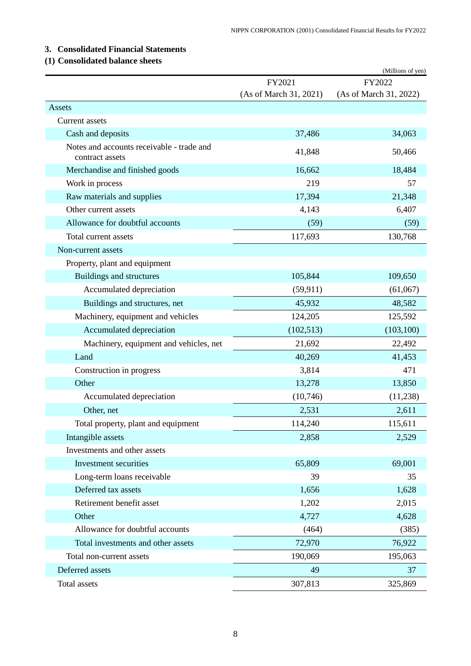## <span id="page-9-0"></span>**3. Consolidated Financial Statements**

## <span id="page-9-1"></span>**(1) Consolidated balance sheets**

|                                                              |                        | (Millions of yen)      |
|--------------------------------------------------------------|------------------------|------------------------|
|                                                              | FY2021                 | FY2022                 |
|                                                              | (As of March 31, 2021) | (As of March 31, 2022) |
| Assets                                                       |                        |                        |
| Current assets                                               |                        |                        |
| Cash and deposits                                            | 37,486                 | 34,063                 |
| Notes and accounts receivable - trade and<br>contract assets | 41,848                 | 50,466                 |
| Merchandise and finished goods                               | 16,662                 | 18,484                 |
| Work in process                                              | 219                    | 57                     |
| Raw materials and supplies                                   | 17,394                 | 21,348                 |
| Other current assets                                         | 4,143                  | 6,407                  |
| Allowance for doubtful accounts                              | (59)                   | (59)                   |
| Total current assets                                         | 117,693                | 130,768                |
| Non-current assets                                           |                        |                        |
| Property, plant and equipment                                |                        |                        |
| Buildings and structures                                     | 105,844                | 109,650                |
| Accumulated depreciation                                     | (59, 911)              | (61,067)               |
| Buildings and structures, net                                | 45,932                 | 48,582                 |
| Machinery, equipment and vehicles                            | 124,205                | 125,592                |
| Accumulated depreciation                                     | (102, 513)             | (103, 100)             |
| Machinery, equipment and vehicles, net                       | 21,692                 | 22,492                 |
| Land                                                         | 40,269                 | 41,453                 |
| Construction in progress                                     | 3,814                  | 471                    |
| Other                                                        | 13,278                 | 13,850                 |
| Accumulated depreciation                                     | (10,746)               | (11,238)               |
| Other, net                                                   | 2,531                  | 2,611                  |
| Total property, plant and equipment                          | 114,240                | 115,611                |
| Intangible assets                                            | 2,858                  | 2,529                  |
| Investments and other assets                                 |                        |                        |
| Investment securities                                        | 65,809                 | 69,001                 |
| Long-term loans receivable                                   | 39                     | 35                     |
| Deferred tax assets                                          | 1,656                  | 1,628                  |
| Retirement benefit asset                                     | 1,202                  | 2,015                  |
| Other                                                        | 4,727                  | 4,628                  |
| Allowance for doubtful accounts                              | (464)                  | (385)                  |
| Total investments and other assets                           | 72,970                 | 76,922                 |
| Total non-current assets                                     | 190,069                | 195,063                |
| Deferred assets                                              | 49                     | 37                     |
| Total assets                                                 | 307,813                | 325,869                |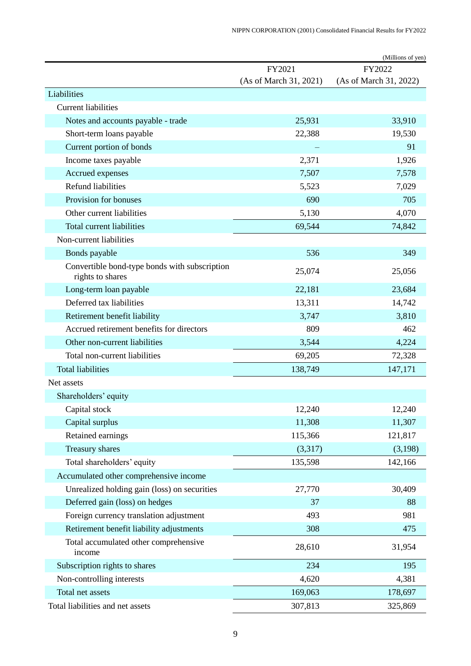|                                                                   |                        | (Millions of yen)      |
|-------------------------------------------------------------------|------------------------|------------------------|
|                                                                   | FY2021                 | FY2022                 |
|                                                                   | (As of March 31, 2021) | (As of March 31, 2022) |
| Liabilities                                                       |                        |                        |
| <b>Current liabilities</b>                                        |                        |                        |
| Notes and accounts payable - trade                                | 25,931                 | 33,910                 |
| Short-term loans payable                                          | 22,388                 | 19,530                 |
| Current portion of bonds                                          |                        | 91                     |
| Income taxes payable                                              | 2,371                  | 1,926                  |
| Accrued expenses                                                  | 7,507                  | 7,578                  |
| Refund liabilities                                                | 5,523                  | 7,029                  |
| Provision for bonuses                                             | 690                    | 705                    |
| Other current liabilities                                         | 5,130                  | 4,070                  |
| <b>Total current liabilities</b>                                  | 69,544                 | 74,842                 |
| Non-current liabilities                                           |                        |                        |
| Bonds payable                                                     | 536                    | 349                    |
| Convertible bond-type bonds with subscription<br>rights to shares | 25,074                 | 25,056                 |
| Long-term loan payable                                            | 22,181                 | 23,684                 |
| Deferred tax liabilities                                          | 13,311                 | 14,742                 |
| Retirement benefit liability                                      | 3,747                  | 3,810                  |
| Accrued retirement benefits for directors                         | 809                    | 462                    |
| Other non-current liabilities                                     | 3,544                  | 4,224                  |
| Total non-current liabilities                                     | 69,205                 | 72,328                 |
| <b>Total liabilities</b>                                          | 138,749                | 147,171                |
| Net assets                                                        |                        |                        |
| Shareholders' equity                                              |                        |                        |
| Capital stock                                                     | 12,240                 | 12,240                 |
| Capital surplus                                                   | 11,308                 | 11,307                 |
| Retained earnings                                                 | 115,366                | 121,817                |
| <b>Treasury shares</b>                                            | (3,317)                | (3,198)                |
| Total shareholders' equity                                        | 135,598                | 142,166                |
| Accumulated other comprehensive income                            |                        |                        |
| Unrealized holding gain (loss) on securities                      | 27,770                 | 30,409                 |
| Deferred gain (loss) on hedges                                    | 37                     | 88                     |
| Foreign currency translation adjustment                           | 493                    | 981                    |
| Retirement benefit liability adjustments                          | 308                    | 475                    |
| Total accumulated other comprehensive<br>income                   | 28,610                 | 31,954                 |
| Subscription rights to shares                                     | 234                    | 195                    |
| Non-controlling interests                                         | 4,620                  | 4,381                  |
| Total net assets                                                  | 169,063                | 178,697                |
| Total liabilities and net assets                                  | 307,813                | 325,869                |
|                                                                   |                        |                        |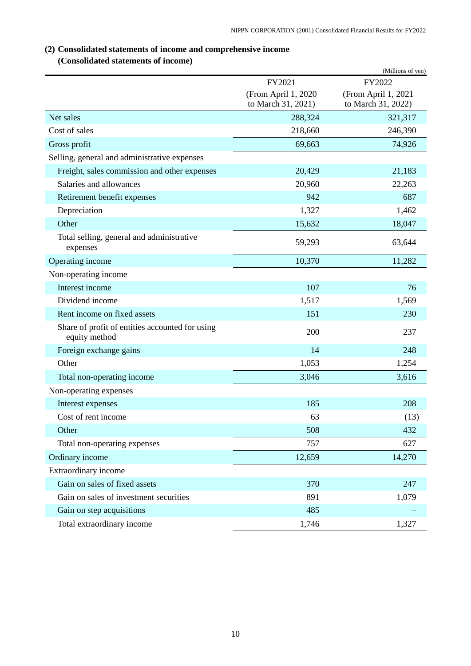# <span id="page-11-0"></span>**(2) Consolidated statements of income and comprehensive income**

# **(Consolidated statements of income)**

<span id="page-11-1"></span>

|                                                                  |                                           | (Millions of yen)                         |
|------------------------------------------------------------------|-------------------------------------------|-------------------------------------------|
|                                                                  | FY2021                                    | FY2022                                    |
|                                                                  | (From April 1, 2020<br>to March 31, 2021) | (From April 1, 2021<br>to March 31, 2022) |
| Net sales                                                        | 288,324                                   | 321,317                                   |
| Cost of sales                                                    | 218,660                                   | 246,390                                   |
| Gross profit                                                     | 69,663                                    | 74,926                                    |
| Selling, general and administrative expenses                     |                                           |                                           |
| Freight, sales commission and other expenses                     | 20,429                                    | 21,183                                    |
| Salaries and allowances                                          | 20,960                                    | 22,263                                    |
| Retirement benefit expenses                                      | 942                                       | 687                                       |
| Depreciation                                                     | 1,327                                     | 1,462                                     |
| Other                                                            | 15,632                                    | 18,047                                    |
| Total selling, general and administrative<br>expenses            | 59,293                                    | 63,644                                    |
| Operating income                                                 | 10,370                                    | 11,282                                    |
| Non-operating income                                             |                                           |                                           |
| Interest income                                                  | 107                                       | 76                                        |
| Dividend income                                                  | 1,517                                     | 1,569                                     |
| Rent income on fixed assets                                      | 151                                       | 230                                       |
| Share of profit of entities accounted for using<br>equity method | 200                                       | 237                                       |
| Foreign exchange gains                                           | 14                                        | 248                                       |
| Other                                                            | 1,053                                     | 1,254                                     |
| Total non-operating income                                       | 3,046                                     | 3,616                                     |
| Non-operating expenses                                           |                                           |                                           |
| Interest expenses                                                | 185                                       | 208                                       |
| Cost of rent income                                              | 63                                        | (13)                                      |
| Other                                                            | 508                                       | 432                                       |
| Total non-operating expenses                                     | 757                                       | 627                                       |
| Ordinary income                                                  | 12,659                                    | 14,270                                    |
| <b>Extraordinary income</b>                                      |                                           |                                           |
| Gain on sales of fixed assets                                    | 370                                       | 247                                       |
| Gain on sales of investment securities                           | 891                                       | 1,079                                     |
| Gain on step acquisitions                                        | 485                                       |                                           |
| Total extraordinary income                                       | 1,746                                     | 1,327                                     |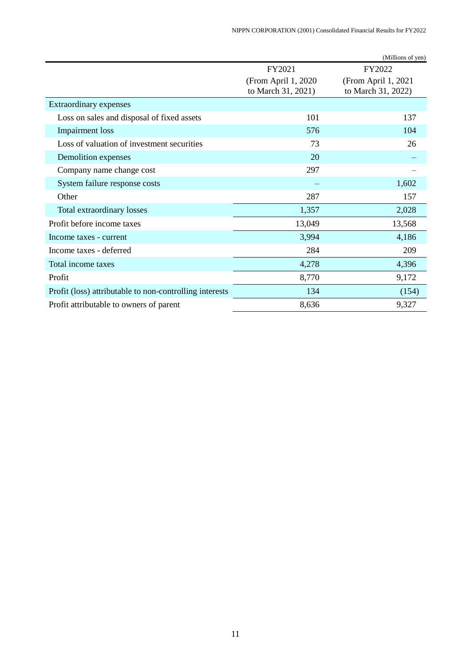|                                                         |                                            | (Millions of yen)                         |
|---------------------------------------------------------|--------------------------------------------|-------------------------------------------|
|                                                         | FY2021                                     | FY2022                                    |
|                                                         | (From April 1, 2020)<br>to March 31, 2021) | (From April 1, 2021<br>to March 31, 2022) |
| Extraordinary expenses                                  |                                            |                                           |
| Loss on sales and disposal of fixed assets              | 101                                        | 137                                       |
| <b>Impairment</b> loss                                  | 576                                        | 104                                       |
| Loss of valuation of investment securities              | 73                                         | 26                                        |
| Demolition expenses                                     | 20                                         |                                           |
| Company name change cost                                | 297                                        |                                           |
| System failure response costs                           |                                            | 1,602                                     |
| Other                                                   | 287                                        | 157                                       |
| Total extraordinary losses                              | 1,357                                      | 2,028                                     |
| Profit before income taxes                              | 13,049                                     | 13,568                                    |
| Income taxes - current                                  | 3,994                                      | 4,186                                     |
| Income taxes - deferred                                 | 284                                        | 209                                       |
| Total income taxes                                      | 4,278                                      | 4,396                                     |
| Profit                                                  | 8,770                                      | 9,172                                     |
| Profit (loss) attributable to non-controlling interests | 134                                        | (154)                                     |
| Profit attributable to owners of parent                 | 8,636                                      | 9,327                                     |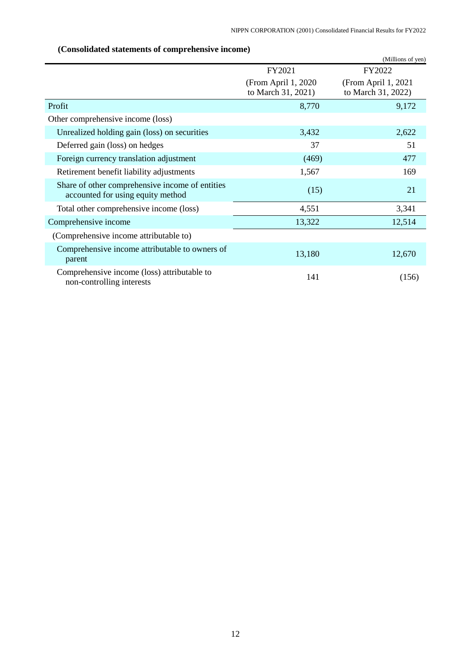<span id="page-13-0"></span>

| $\chi$ consolidated statements of complements $\chi$ meonic)                         |                                            | (Millions of yen)                         |
|--------------------------------------------------------------------------------------|--------------------------------------------|-------------------------------------------|
|                                                                                      | FY2021                                     | FY2022                                    |
|                                                                                      | (From April 1, 2020)<br>to March 31, 2021) | (From April 1, 2021<br>to March 31, 2022) |
| Profit                                                                               | 8,770                                      | 9,172                                     |
| Other comprehensive income (loss)                                                    |                                            |                                           |
| Unrealized holding gain (loss) on securities                                         | 3,432                                      | 2,622                                     |
| Deferred gain (loss) on hedges                                                       | 37                                         | 51                                        |
| Foreign currency translation adjustment                                              | (469)                                      | 477                                       |
| Retirement benefit liability adjustments                                             | 1,567                                      | 169                                       |
| Share of other comprehensive income of entities<br>accounted for using equity method | (15)                                       | 21                                        |
| Total other comprehensive income (loss)                                              | 4,551                                      | 3,341                                     |
| Comprehensive income                                                                 | 13,322                                     | 12,514                                    |
| (Comprehensive income attributable to)                                               |                                            |                                           |
| Comprehensive income attributable to owners of<br>parent                             | 13,180                                     | 12,670                                    |
| Comprehensive income (loss) attributable to<br>non-controlling interests             | 141                                        | (156)                                     |

# **(Consolidated statements of comprehensive income)**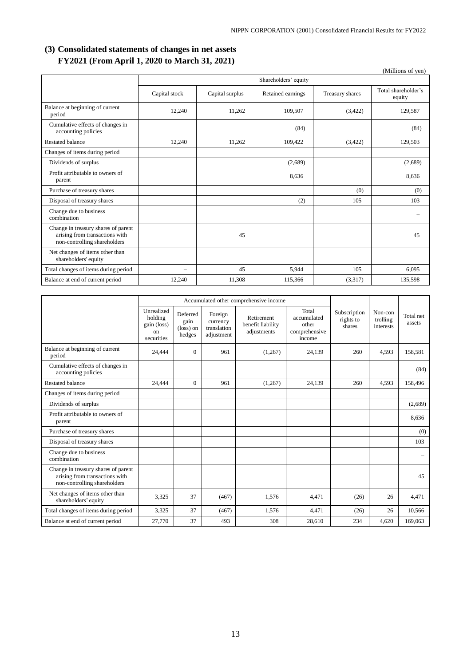## <span id="page-14-0"></span>**(3) Consolidated statements of changes in net assets FY2021 (From April 1, 2020 to March 31, 2021)**

|                                                                                                       |                          |                 |                      |                 | (Millions of yen)             |
|-------------------------------------------------------------------------------------------------------|--------------------------|-----------------|----------------------|-----------------|-------------------------------|
|                                                                                                       |                          |                 | Shareholders' equity |                 |                               |
|                                                                                                       | Capital stock            | Capital surplus | Retained earnings    | Treasury shares | Total shareholder's<br>equity |
| Balance at beginning of current<br>period                                                             | 12,240                   | 11,262          | 109,507              | (3,422)         | 129,587                       |
| Cumulative effects of changes in<br>accounting policies                                               |                          |                 | (84)                 |                 | (84)                          |
| <b>Restated balance</b>                                                                               | 12,240                   | 11,262          | 109,422              | (3,422)         | 129,503                       |
| Changes of items during period                                                                        |                          |                 |                      |                 |                               |
| Dividends of surplus                                                                                  |                          |                 | (2,689)              |                 | (2,689)                       |
| Profit attributable to owners of<br>parent                                                            |                          |                 | 8,636                |                 | 8,636                         |
| Purchase of treasury shares                                                                           |                          |                 |                      | (0)             | (0)                           |
| Disposal of treasury shares                                                                           |                          |                 | (2)                  | 105             | 103                           |
| Change due to business<br>combination                                                                 |                          |                 |                      |                 |                               |
| Change in treasury shares of parent<br>arising from transactions with<br>non-controlling shareholders |                          | 45              |                      |                 | 45                            |
| Net changes of items other than<br>shareholders' equity                                               |                          |                 |                      |                 |                               |
| Total changes of items during period                                                                  | $\overline{\phantom{m}}$ | 45              | 5,944                | 105             | 6,095                         |
| Balance at end of current period                                                                      | 12,240                   | 11,308          | 115,366              | (3,317)         | 135,598                       |

|                                                                                                       |                                                          | Accumulated other comprehensive income           |                                                  |                                                |                                                          |                                     |                                  |                          |
|-------------------------------------------------------------------------------------------------------|----------------------------------------------------------|--------------------------------------------------|--------------------------------------------------|------------------------------------------------|----------------------------------------------------------|-------------------------------------|----------------------------------|--------------------------|
|                                                                                                       | Unrealized<br>holding<br>gain (loss)<br>on<br>securities | Deferred<br>gain<br>$(\text{loss})$ on<br>hedges | Foreign<br>currency<br>translation<br>adjustment | Retirement<br>benefit liability<br>adjustments | Total<br>accumulated<br>other<br>comprehensive<br>income | Subscription<br>rights to<br>shares | Non-con<br>trolling<br>interests | Total net<br>assets      |
| Balance at beginning of current<br>period                                                             | 24,444                                                   | $\Omega$                                         | 961                                              | (1,267)                                        | 24,139                                                   | 260                                 | 4,593                            | 158,581                  |
| Cumulative effects of changes in<br>accounting policies                                               |                                                          |                                                  |                                                  |                                                |                                                          |                                     |                                  | (84)                     |
| <b>Restated balance</b>                                                                               | 24,444                                                   | $\Omega$                                         | 961                                              | (1,267)                                        | 24.139                                                   | 260                                 | 4,593                            | 158,496                  |
| Changes of items during period                                                                        |                                                          |                                                  |                                                  |                                                |                                                          |                                     |                                  |                          |
| Dividends of surplus                                                                                  |                                                          |                                                  |                                                  |                                                |                                                          |                                     |                                  | (2,689)                  |
| Profit attributable to owners of<br>parent                                                            |                                                          |                                                  |                                                  |                                                |                                                          |                                     |                                  | 8,636                    |
| Purchase of treasury shares                                                                           |                                                          |                                                  |                                                  |                                                |                                                          |                                     |                                  | (0)                      |
| Disposal of treasury shares                                                                           |                                                          |                                                  |                                                  |                                                |                                                          |                                     |                                  | 103                      |
| Change due to business<br>combination                                                                 |                                                          |                                                  |                                                  |                                                |                                                          |                                     |                                  | $\overline{\phantom{0}}$ |
| Change in treasury shares of parent<br>arising from transactions with<br>non-controlling shareholders |                                                          |                                                  |                                                  |                                                |                                                          |                                     |                                  | 45                       |
| Net changes of items other than<br>shareholders' equity                                               | 3,325                                                    | 37                                               | (467)                                            | 1.576                                          | 4.471                                                    | (26)                                | 26                               | 4,471                    |
| Total changes of items during period                                                                  | 3,325                                                    | 37                                               | (467)                                            | 1,576                                          | 4,471                                                    | (26)                                | 26                               | 10,566                   |
| Balance at end of current period                                                                      | 27,770                                                   | 37                                               | 493                                              | 308                                            | 28,610                                                   | 234                                 | 4,620                            | 169,063                  |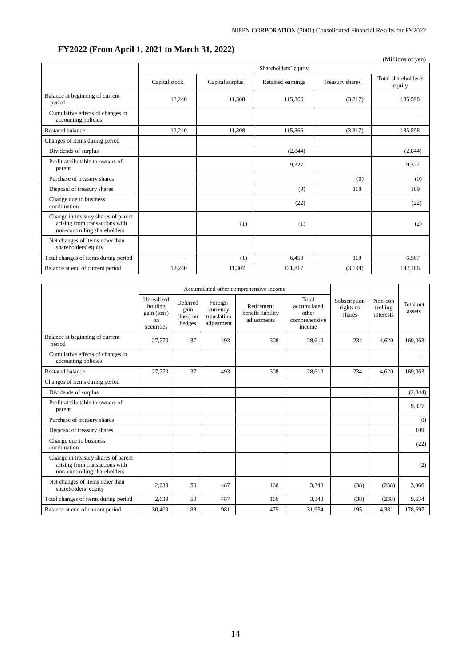# **FY2022 (From April 1, 2021 to March 31, 2022)**

|                                                                                                       |                      |                 |                   |                 | (Millions of yen)             |  |  |  |
|-------------------------------------------------------------------------------------------------------|----------------------|-----------------|-------------------|-----------------|-------------------------------|--|--|--|
|                                                                                                       | Shareholders' equity |                 |                   |                 |                               |  |  |  |
|                                                                                                       | Capital stock        | Capital surplus | Retained earnings | Treasury shares | Total shareholder's<br>equity |  |  |  |
| Balance at beginning of current<br>period                                                             | 12,240               | 11,308          | 115,366           | (3,317)         | 135,598                       |  |  |  |
| Cumulative effects of changes in<br>accounting policies                                               |                      |                 |                   |                 |                               |  |  |  |
| <b>Restated balance</b>                                                                               | 12,240               | 11,308          | 115,366           | (3,317)         | 135,598                       |  |  |  |
| Changes of items during period                                                                        |                      |                 |                   |                 |                               |  |  |  |
| Dividends of surplus                                                                                  |                      |                 | (2,844)           |                 | (2,844)                       |  |  |  |
| Profit attributable to owners of<br>parent                                                            |                      |                 | 9,327             |                 | 9,327                         |  |  |  |
| Purchase of treasury shares                                                                           |                      |                 |                   | (0)             | (0)                           |  |  |  |
| Disposal of treasury shares                                                                           |                      |                 | (9)               | 118             | 109                           |  |  |  |
| Change due to business<br>combination                                                                 |                      |                 | (22)              |                 | (22)                          |  |  |  |
| Change in treasury shares of parent<br>arising from transactions with<br>non-controlling shareholders |                      | (1)             | (1)               |                 | (2)                           |  |  |  |
| Net changes of items other than<br>shareholders' equity                                               |                      |                 |                   |                 |                               |  |  |  |
| Total changes of items during period                                                                  | —                    | (1)             | 6,450             | 118             | 6,567                         |  |  |  |
| Balance at end of current period                                                                      | 12.240               | 11,307          | 121,817           | (3,198)         | 142,166                       |  |  |  |

|                                                                                                       | Accumulated other comprehensive income                              |                                                  |                                                  |                                                |                                                          |                                     |                                  |                     |
|-------------------------------------------------------------------------------------------------------|---------------------------------------------------------------------|--------------------------------------------------|--------------------------------------------------|------------------------------------------------|----------------------------------------------------------|-------------------------------------|----------------------------------|---------------------|
|                                                                                                       | Unrealized<br>holding<br>gain (loss)<br><sub>on</sub><br>securities | Deferred<br>gain<br>$(\text{loss})$ on<br>hedges | Foreign<br>currency<br>translation<br>adjustment | Retirement<br>benefit liability<br>adjustments | Total<br>accumulated<br>other<br>comprehensive<br>income | Subscription<br>rights to<br>shares | Non-con<br>trolling<br>interests | Total net<br>assets |
| Balance at beginning of current<br>period                                                             | 27,770                                                              | 37                                               | 493                                              | 308                                            | 28,610                                                   | 234                                 | 4.620                            | 169,063             |
| Cumulative effects of changes in<br>accounting policies                                               |                                                                     |                                                  |                                                  |                                                |                                                          |                                     |                                  |                     |
| <b>Restated balance</b>                                                                               | 27.770                                                              | 37                                               | 493                                              | 308                                            | 28.610                                                   | 234                                 | 4.620                            | 169,063             |
| Changes of items during period                                                                        |                                                                     |                                                  |                                                  |                                                |                                                          |                                     |                                  |                     |
| Dividends of surplus                                                                                  |                                                                     |                                                  |                                                  |                                                |                                                          |                                     |                                  | (2,844)             |
| Profit attributable to owners of<br>parent                                                            |                                                                     |                                                  |                                                  |                                                |                                                          |                                     |                                  | 9,327               |
| Purchase of treasury shares                                                                           |                                                                     |                                                  |                                                  |                                                |                                                          |                                     |                                  | (0)                 |
| Disposal of treasury shares                                                                           |                                                                     |                                                  |                                                  |                                                |                                                          |                                     |                                  | 109                 |
| Change due to business<br>combination                                                                 |                                                                     |                                                  |                                                  |                                                |                                                          |                                     |                                  | (22)                |
| Change in treasury shares of parent<br>arising from transactions with<br>non-controlling shareholders |                                                                     |                                                  |                                                  |                                                |                                                          |                                     |                                  | (2)                 |
| Net changes of items other than<br>shareholders' equity                                               | 2,639                                                               | 50                                               | 487                                              | 166                                            | 3,343                                                    | (38)                                | (238)                            | 3,066               |
| Total changes of items during period                                                                  | 2,639                                                               | 50                                               | 487                                              | 166                                            | 3,343                                                    | (38)                                | (238)                            | 9.634               |
| Balance at end of current period                                                                      | 30,409                                                              | 88                                               | 981                                              | 475                                            | 31,954                                                   | 195                                 | 4,381                            | 178,697             |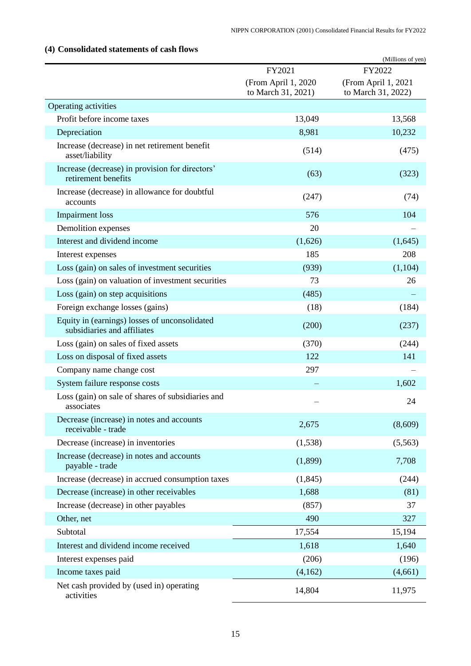|                                                                              | FY2021                                    | (Millions of yen)<br>FY2022               |
|------------------------------------------------------------------------------|-------------------------------------------|-------------------------------------------|
|                                                                              | (From April 1, 2020<br>to March 31, 2021) | (From April 1, 2021<br>to March 31, 2022) |
| Operating activities                                                         |                                           |                                           |
| Profit before income taxes                                                   | 13,049                                    | 13,568                                    |
| Depreciation                                                                 | 8,981                                     | 10,232                                    |
| Increase (decrease) in net retirement benefit<br>asset/liability             | (514)                                     | (475)                                     |
| Increase (decrease) in provision for directors'<br>retirement benefits       | (63)                                      | (323)                                     |
| Increase (decrease) in allowance for doubtful<br>accounts                    | (247)                                     | (74)                                      |
| <b>Impairment</b> loss                                                       | 576                                       | 104                                       |
| Demolition expenses                                                          | 20                                        |                                           |
| Interest and dividend income                                                 | (1,626)                                   | (1,645)                                   |
| Interest expenses                                                            | 185                                       | 208                                       |
| Loss (gain) on sales of investment securities                                | (939)                                     | (1,104)                                   |
| Loss (gain) on valuation of investment securities                            | 73                                        | 26                                        |
| Loss (gain) on step acquisitions                                             | (485)                                     |                                           |
| Foreign exchange losses (gains)                                              | (18)                                      | (184)                                     |
| Equity in (earnings) losses of unconsolidated<br>subsidiaries and affiliates | (200)                                     | (237)                                     |
| Loss (gain) on sales of fixed assets                                         | (370)                                     | (244)                                     |
| Loss on disposal of fixed assets                                             | 122                                       | 141                                       |
| Company name change cost                                                     | 297                                       |                                           |
| System failure response costs                                                |                                           | 1,602                                     |
| Loss (gain) on sale of shares of subsidiaries and<br>associates              |                                           | 24                                        |
| Decrease (increase) in notes and accounts<br>receivable - trade              | 2,675                                     | (8,609)                                   |
| Decrease (increase) in inventories                                           | (1,538)                                   | (5,563)                                   |
| Increase (decrease) in notes and accounts<br>payable - trade                 | (1,899)                                   | 7,708                                     |
| Increase (decrease) in accrued consumption taxes                             | (1, 845)                                  | (244)                                     |
| Decrease (increase) in other receivables                                     | 1,688                                     | (81)                                      |
| Increase (decrease) in other payables                                        | (857)                                     | 37                                        |
| Other, net                                                                   | 490                                       | 327                                       |
| Subtotal                                                                     | 17,554                                    | 15,194                                    |
| Interest and dividend income received                                        | 1,618                                     | 1,640                                     |
| Interest expenses paid                                                       | (206)                                     | (196)                                     |
| Income taxes paid                                                            | (4,162)                                   | (4,661)                                   |
| Net cash provided by (used in) operating<br>activities                       | 14,804                                    | 11,975                                    |

# <span id="page-16-0"></span>**(4) Consolidated statements of cash flows**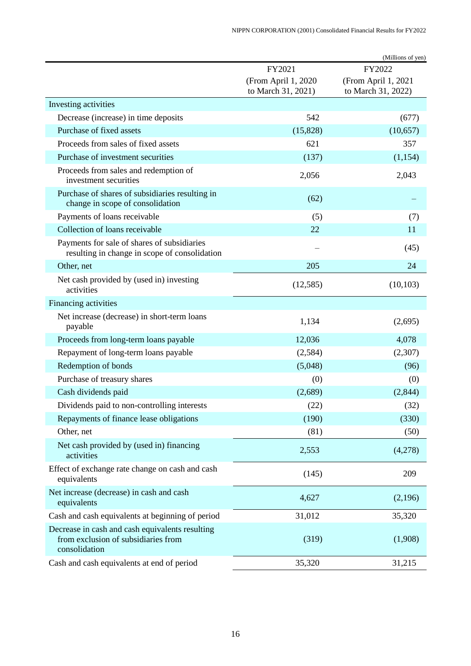|                                                                                                         |                                           | (Millions of yen)                         |
|---------------------------------------------------------------------------------------------------------|-------------------------------------------|-------------------------------------------|
|                                                                                                         | FY2021                                    | FY2022                                    |
|                                                                                                         | (From April 1, 2020<br>to March 31, 2021) | (From April 1, 2021<br>to March 31, 2022) |
| Investing activities                                                                                    |                                           |                                           |
| Decrease (increase) in time deposits                                                                    | 542                                       | (677)                                     |
| Purchase of fixed assets                                                                                | (15,828)                                  | (10,657)                                  |
| Proceeds from sales of fixed assets                                                                     | 621                                       | 357                                       |
| Purchase of investment securities                                                                       | (137)                                     | (1, 154)                                  |
| Proceeds from sales and redemption of<br>investment securities                                          | 2,056                                     | 2,043                                     |
| Purchase of shares of subsidiaries resulting in<br>change in scope of consolidation                     | (62)                                      |                                           |
| Payments of loans receivable                                                                            | (5)                                       | (7)                                       |
| Collection of loans receivable                                                                          | 22                                        | 11                                        |
| Payments for sale of shares of subsidiaries<br>resulting in change in scope of consolidation            |                                           | (45)                                      |
| Other, net                                                                                              | 205                                       | 24                                        |
| Net cash provided by (used in) investing<br>activities                                                  | (12,585)                                  | (10, 103)                                 |
| Financing activities                                                                                    |                                           |                                           |
| Net increase (decrease) in short-term loans<br>payable                                                  | 1,134                                     | (2,695)                                   |
| Proceeds from long-term loans payable                                                                   | 12,036                                    | 4,078                                     |
| Repayment of long-term loans payable                                                                    | (2,584)                                   | (2,307)                                   |
| Redemption of bonds                                                                                     | (5,048)                                   | (96)                                      |
| Purchase of treasury shares                                                                             | (0)                                       | (0)                                       |
| Cash dividends paid                                                                                     | (2,689)                                   | (2, 844)                                  |
| Dividends paid to non-controlling interests                                                             | (22)                                      | (32)                                      |
| Repayments of finance lease obligations                                                                 | (190)                                     | (330)                                     |
| Other, net                                                                                              | (81)                                      | (50)                                      |
| Net cash provided by (used in) financing<br>activities                                                  | 2,553                                     | (4,278)                                   |
| Effect of exchange rate change on cash and cash<br>equivalents                                          | (145)                                     | 209                                       |
| Net increase (decrease) in cash and cash<br>equivalents                                                 | 4,627                                     | (2,196)                                   |
| Cash and cash equivalents at beginning of period                                                        | 31,012                                    | 35,320                                    |
| Decrease in cash and cash equivalents resulting<br>from exclusion of subsidiaries from<br>consolidation | (319)                                     | (1,908)                                   |
| Cash and cash equivalents at end of period                                                              | 35,320                                    | 31,215                                    |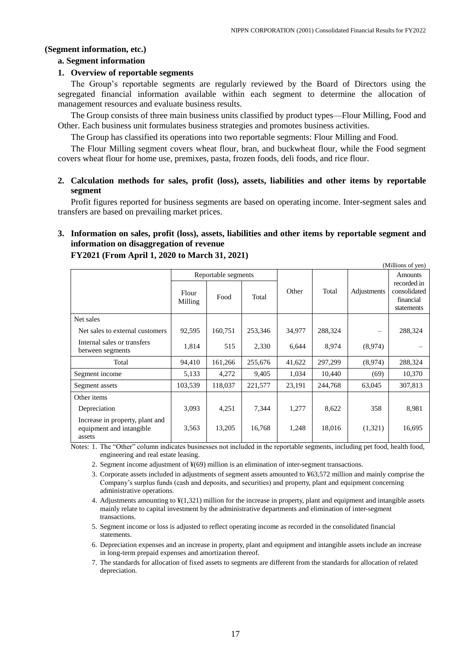## <span id="page-18-0"></span>**(Segment information, etc.)**

## **a. Segment information**

## **1. Overview of reportable segments**

The Group's reportable segments are regularly reviewed by the Board of Directors using the segregated financial information available within each segment to determine the allocation of management resources and evaluate business results.

The Group consists of three main business units classified by product types—Flour Milling, Food and Other. Each business unit formulates business strategies and promotes business activities.

The Group has classified its operations into two reportable segments: Flour Milling and Food.

The Flour Milling segment covers wheat flour, bran, and buckwheat flour, while the Food segment covers wheat flour for home use, premixes, pasta, frozen foods, deli foods, and rice flour.

## **2. Calculation methods for sales, profit (loss), assets, liabilities and other items by reportable segment**

Profit figures reported for business segments are based on operating income. Inter-segment sales and transfers are based on prevailing market prices.

## **3. Information on sales, profit (loss), assets, liabilities and other items by reportable segment and information on disaggregation of revenue**

|                                                                       |                  |                     |         |        |         |             | $\mu$                                                  |
|-----------------------------------------------------------------------|------------------|---------------------|---------|--------|---------|-------------|--------------------------------------------------------|
|                                                                       |                  | Reportable segments |         |        |         |             | <b>Amounts</b>                                         |
|                                                                       | Flour<br>Milling | Food                | Total   | Other  | Total   | Adjustments | recorded in<br>consolidated<br>financial<br>statements |
| Net sales                                                             |                  |                     |         |        |         |             |                                                        |
| Net sales to external customers                                       | 92,595           | 160,751             | 253,346 | 34,977 | 288,324 | —           | 288,324                                                |
| Internal sales or transfers<br>between segments                       | 1,814            | 515                 | 2,330   | 6,644  | 8,974   | (8,974)     |                                                        |
| Total                                                                 | 94,410           | 161,266             | 255,676 | 41,622 | 297,299 | (8,974)     | 288,324                                                |
| Segment income                                                        | 5,133            | 4,272               | 9,405   | 1,034  | 10.440  | (69)        | 10,370                                                 |
| Segment assets                                                        | 103,539          | 118,037             | 221,577 | 23,191 | 244,768 | 63,045      | 307,813                                                |
| Other items                                                           |                  |                     |         |        |         |             |                                                        |
| Depreciation                                                          | 3,093            | 4,251               | 7,344   | 1,277  | 8,622   | 358         | 8,981                                                  |
| Increase in property, plant and<br>equipment and intangible<br>assets | 3,563            | 13,205              | 16,768  | 1,248  | 18,016  | (1,321)     | 16,695                                                 |

## **FY2021 (From April 1, 2020 to March 31, 2021)**

Notes: 1. The "Other" column indicates businesses not included in the reportable segments, including pet food, health food, engineering and real estate leasing.

2. Segment income adjustment of ¥(69) million is an elimination of inter-segment transactions.

3. Corporate assets included in adjustments of segment assets amounted to ¥63,572 million and mainly comprise the Company's surplus funds (cash and deposits, and securities) and property, plant and equipment concerning administrative operations.

4. Adjustments amounting to ¥(1,321) million for the increase in property, plant and equipment and intangible assets mainly relate to capital investment by the administrative departments and elimination of inter-segment transactions.

5. Segment income or loss is adjusted to reflect operating income as recorded in the consolidated financial statements.

6. Depreciation expenses and an increase in property, plant and equipment and intangible assets include an increase in long-term prepaid expenses and amortization thereof.

7. The standards for allocation of fixed assets to segments are different from the standards for allocation of related depreciation.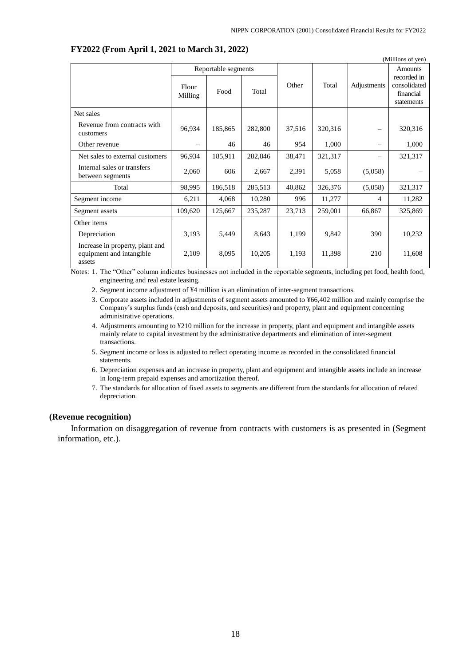|                                                                       |                     |         |         |        |         |                                | (Millions of yen)                                      |
|-----------------------------------------------------------------------|---------------------|---------|---------|--------|---------|--------------------------------|--------------------------------------------------------|
|                                                                       | Reportable segments |         |         |        |         | Amounts                        |                                                        |
|                                                                       | Flour<br>Milling    | Food    | Total   | Other  | Total   | Adjustments                    | recorded in<br>consolidated<br>financial<br>statements |
| Net sales                                                             |                     |         |         |        |         |                                |                                                        |
| Revenue from contracts with<br>customers                              | 96,934              | 185,865 | 282,800 | 37,516 | 320,316 | $\equiv$                       | 320,316                                                |
| Other revenue                                                         |                     | 46      | 46      | 954    | 1,000   | $\qquad \qquad \longleftarrow$ | 1,000                                                  |
| Net sales to external customers                                       | 96,934              | 185,911 | 282,846 | 38,471 | 321,317 |                                | 321,317                                                |
| Internal sales or transfers<br>between segments                       | 2,060               | 606     | 2,667   | 2,391  | 5,058   | (5,058)                        |                                                        |
| Total                                                                 | 98,995              | 186,518 | 285,513 | 40,862 | 326,376 | (5,058)                        | 321,317                                                |
| Segment income                                                        | 6,211               | 4,068   | 10,280  | 996    | 11,277  | 4                              | 11,282                                                 |
| Segment assets                                                        | 109,620             | 125,667 | 235,287 | 23,713 | 259,001 | 66,867                         | 325,869                                                |
| Other items                                                           |                     |         |         |        |         |                                |                                                        |
| Depreciation                                                          | 3,193               | 5,449   | 8,643   | 1,199  | 9,842   | 390                            | 10,232                                                 |
| Increase in property, plant and<br>equipment and intangible<br>assets | 2,109               | 8,095   | 10,205  | 1,193  | 11,398  | 210                            | 11,608                                                 |

## **FY2022 (From April 1, 2021 to March 31, 2022)**

Notes: 1. The "Other" column indicates businesses not included in the reportable segments, including pet food, health food, engineering and real estate leasing.

2. Segment income adjustment of ¥4 million is an elimination of inter-segment transactions.

3. Corporate assets included in adjustments of segment assets amounted to ¥66,402 million and mainly comprise the Company's surplus funds (cash and deposits, and securities) and property, plant and equipment concerning administrative operations.

- 4. Adjustments amounting to ¥210 million for the increase in property, plant and equipment and intangible assets mainly relate to capital investment by the administrative departments and elimination of inter-segment transactions.
- 5. Segment income or loss is adjusted to reflect operating income as recorded in the consolidated financial statements.
- 6. Depreciation expenses and an increase in property, plant and equipment and intangible assets include an increase in long-term prepaid expenses and amortization thereof.
- 7. The standards for allocation of fixed assets to segments are different from the standards for allocation of related depreciation.

#### <span id="page-19-0"></span>**(Revenue recognition)**

Information on disaggregation of revenue from contracts with customers is as presented in (Segment information, etc.).